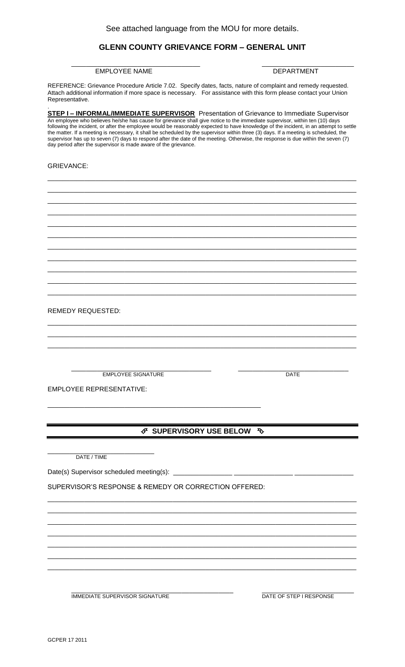# **GLENN COUNTY GRIEVANCE FORM – GENERAL UNIT**

## EMPLOYEE NAME DEPARTMENT

\_\_\_\_\_\_\_\_\_\_\_\_\_\_\_\_\_\_\_\_\_\_\_\_\_\_\_\_\_\_\_\_\_\_\_ \_\_\_\_\_\_\_\_\_\_\_\_\_\_\_\_\_\_\_\_\_\_\_\_\_

REFERENCE: Grievance Procedure Article 7.02. Specify dates, facts, nature of complaint and remedy requested. Attach additional information if more space is necessary. For assistance with this form please contact your Union Representative.

. **STEP I – INFORMAL/IMMEDIATE SUPERVISOR** Presentation of Grievance to Immediate Supervisor An employee who believes he/she has cause for grievance shall give notice to the immediate supervisor, within ten (10) days following the incident, or after the employee would be reasonably expected to have knowledge of the incident, in an attempt to settle the matter. If a meeting is necessary, it shall be scheduled by the supervisor within three (3) days. If a meeting is scheduled, the supervisor has up to seven (7) days to respond after the date of the meeting. Otherwise, the response is due within the seven (7) day period after the supervisor is made aware of the grievance. GRIEVANCE: \_\_\_\_\_\_\_\_\_\_\_\_\_\_\_\_\_\_\_\_\_\_\_\_\_\_\_\_\_\_\_\_\_\_\_\_\_\_\_\_\_\_\_\_\_\_\_\_\_\_\_\_\_\_\_\_\_\_\_\_\_\_\_\_\_\_\_\_\_\_\_\_\_\_\_\_\_\_\_\_\_\_\_\_ \_\_\_\_\_\_\_\_\_\_\_\_\_\_\_\_\_\_\_\_\_\_\_\_\_\_\_\_\_\_\_\_\_\_\_\_\_\_\_\_\_\_\_\_\_\_\_\_\_\_\_\_\_\_\_\_\_\_\_\_\_\_\_\_\_\_\_\_\_\_\_\_\_\_\_\_\_\_\_\_\_\_\_\_ \_\_\_\_\_\_\_\_\_\_\_\_\_\_\_\_\_\_\_\_\_\_\_\_\_\_\_\_\_\_\_\_\_\_\_\_\_\_\_\_\_\_\_\_\_\_\_\_\_\_\_\_\_\_\_\_\_\_\_\_\_\_\_\_\_\_\_\_\_\_\_\_\_\_\_\_\_\_\_\_\_\_\_\_ \_\_\_\_\_\_\_\_\_\_\_\_\_\_\_\_\_\_\_\_\_\_\_\_\_\_\_\_\_\_\_\_\_\_\_\_\_\_\_\_\_\_\_\_\_\_\_\_\_\_\_\_\_\_\_\_\_\_\_\_\_\_\_\_\_\_\_\_\_\_\_\_\_\_\_\_\_\_\_\_\_\_\_\_ \_\_\_\_\_\_\_\_\_\_\_\_\_\_\_\_\_\_\_\_\_\_\_\_\_\_\_\_\_\_\_\_\_\_\_\_\_\_\_\_\_\_\_\_\_\_\_\_\_\_\_\_\_\_\_\_\_\_\_\_\_\_\_\_\_\_\_\_\_\_\_\_\_\_\_\_\_\_\_\_\_\_\_\_ \_\_\_\_\_\_\_\_\_\_\_\_\_\_\_\_\_\_\_\_\_\_\_\_\_\_\_\_\_\_\_\_\_\_\_\_\_\_\_\_\_\_\_\_\_\_\_\_\_\_\_\_\_\_\_\_\_\_\_\_\_\_\_\_\_\_\_\_\_\_\_\_\_\_\_\_\_\_\_\_\_\_\_\_ \_\_\_\_\_\_\_\_\_\_\_\_\_\_\_\_\_\_\_\_\_\_\_\_\_\_\_\_\_\_\_\_\_\_\_\_\_\_\_\_\_\_\_\_\_\_\_\_\_\_\_\_\_\_\_\_\_\_\_\_\_\_\_\_\_\_\_\_\_\_\_\_\_\_\_\_\_\_\_\_\_\_\_\_ \_\_\_\_\_\_\_\_\_\_\_\_\_\_\_\_\_\_\_\_\_\_\_\_\_\_\_\_\_\_\_\_\_\_\_\_\_\_\_\_\_\_\_\_\_\_\_\_\_\_\_\_\_\_\_\_\_\_\_\_\_\_\_\_\_\_\_\_\_\_\_\_\_\_\_\_\_\_\_\_\_\_\_\_ \_\_\_\_\_\_\_\_\_\_\_\_\_\_\_\_\_\_\_\_\_\_\_\_\_\_\_\_\_\_\_\_\_\_\_\_\_\_\_\_\_\_\_\_\_\_\_\_\_\_\_\_\_\_\_\_\_\_\_\_\_\_\_\_\_\_\_\_\_\_\_\_\_\_\_\_\_\_\_\_\_\_\_\_ \_\_\_\_\_\_\_\_\_\_\_\_\_\_\_\_\_\_\_\_\_\_\_\_\_\_\_\_\_\_\_\_\_\_\_\_\_\_\_\_\_\_\_\_\_\_\_\_\_\_\_\_\_\_\_\_\_\_\_\_\_\_\_\_\_\_\_\_\_\_\_\_\_\_\_\_\_\_\_\_\_\_\_\_ \_\_\_\_\_\_\_\_\_\_\_\_\_\_\_\_\_\_\_\_\_\_\_\_\_\_\_\_\_\_\_\_\_\_\_\_\_\_\_\_\_\_\_\_\_\_\_\_\_\_\_\_\_\_\_\_\_\_\_\_\_\_\_\_\_\_\_\_\_\_\_\_\_\_\_\_\_\_\_\_\_\_\_\_ REMEDY REQUESTED: \_\_\_\_\_\_\_\_\_\_\_\_\_\_\_\_\_\_\_\_\_\_\_\_\_\_\_\_\_\_\_\_\_\_\_\_\_\_\_\_\_\_\_\_\_\_\_\_\_\_\_\_\_\_\_\_\_\_\_\_\_\_\_\_\_\_\_\_\_\_\_\_\_\_\_\_\_\_\_\_\_\_\_\_ \_\_\_\_\_\_\_\_\_\_\_\_\_\_\_\_\_\_\_\_\_\_\_\_\_\_\_\_\_\_\_\_\_\_\_\_\_\_\_\_\_\_\_\_\_\_\_\_\_\_\_\_\_\_\_\_\_\_\_\_\_\_\_\_\_\_\_\_\_\_\_\_\_\_\_\_\_\_\_\_\_\_\_\_ \_\_\_\_\_\_\_\_\_\_\_\_\_\_\_\_\_\_\_\_\_\_\_\_\_\_\_\_\_\_\_\_\_\_\_\_\_\_\_\_\_\_\_\_\_\_\_\_\_\_\_\_\_\_\_\_\_\_\_\_\_\_\_\_\_\_\_\_\_\_\_\_\_\_\_\_\_\_\_\_\_\_\_\_ \_\_\_\_\_\_\_\_\_\_\_\_\_\_\_\_\_\_\_\_\_\_\_\_\_\_\_\_\_\_\_\_\_\_\_\_\_\_ \_\_\_\_\_\_\_\_\_\_\_\_\_\_\_\_\_\_\_\_\_\_\_\_\_\_\_\_\_\_ EMPLOYEE SIGNATURE **DATE** EMPLOYEE REPRESENTATIVE: \_\_\_\_\_\_\_\_\_\_\_\_\_\_\_\_\_\_\_\_\_\_\_\_\_\_\_\_\_\_\_\_\_\_\_\_\_\_\_\_\_\_\_\_\_\_\_\_\_\_\_\_\_\_\_\_\_\_  **SUPERVISORY USE BELOW**  \_\_\_\_\_\_\_\_\_\_\_\_\_\_\_\_\_\_\_\_\_\_\_\_\_\_\_\_\_ DATE / TIME Date(s) Supervisor scheduled meeting(s): \_ SUPERVISOR'S RESPONSE & REMEDY OR CORRECTION OFFERED: \_\_\_\_\_\_\_\_\_\_\_\_\_\_\_\_\_\_\_\_\_\_\_\_\_\_\_\_\_\_\_\_\_\_\_\_\_\_\_\_\_\_\_\_\_\_\_\_\_\_\_\_\_\_\_\_\_\_\_\_\_\_\_\_\_\_\_\_\_\_\_\_\_\_\_\_\_\_\_\_\_\_\_\_ \_\_\_\_\_\_\_\_\_\_\_\_\_\_\_\_\_\_\_\_\_\_\_\_\_\_\_\_\_\_\_\_\_\_\_\_\_\_\_\_\_\_\_\_\_\_\_\_\_\_\_\_\_\_\_\_\_\_\_\_\_\_\_\_\_\_\_\_\_\_\_\_\_\_\_\_\_\_\_\_\_\_\_\_ \_\_\_\_\_\_\_\_\_\_\_\_\_\_\_\_\_\_\_\_\_\_\_\_\_\_\_\_\_\_\_\_\_\_\_\_\_\_\_\_\_\_\_\_\_\_\_\_\_\_\_\_\_\_\_\_\_\_\_\_\_\_\_\_\_\_\_\_\_\_\_\_\_\_\_\_\_\_\_\_\_\_\_\_ \_\_\_\_\_\_\_\_\_\_\_\_\_\_\_\_\_\_\_\_\_\_\_\_\_\_\_\_\_\_\_\_\_\_\_\_\_\_\_\_\_\_\_\_\_\_\_\_\_\_\_\_\_\_\_\_\_\_\_\_\_\_\_\_\_\_\_\_\_\_\_\_\_\_\_\_\_\_\_\_\_\_\_\_ \_\_\_\_\_\_\_\_\_\_\_\_\_\_\_\_\_\_\_\_\_\_\_\_\_\_\_\_\_\_\_\_\_\_\_\_\_\_\_\_\_\_\_\_\_\_\_\_\_\_\_\_\_\_\_\_\_\_\_\_\_\_\_\_\_\_\_\_\_\_\_\_\_\_\_\_\_\_\_\_\_\_\_\_ \_\_\_\_\_\_\_\_\_\_\_\_\_\_\_\_\_\_\_\_\_\_\_\_\_\_\_\_\_\_\_\_\_\_\_\_\_\_\_\_\_\_\_\_\_\_\_\_\_\_\_\_\_\_\_\_\_\_\_\_\_\_\_\_\_\_\_\_\_\_\_\_\_\_\_\_\_\_\_\_\_\_\_\_ \_\_\_\_\_\_\_\_\_\_\_\_\_\_\_\_\_\_\_\_\_\_\_\_\_\_\_\_\_\_\_\_\_\_\_\_\_\_\_\_\_\_\_\_\_\_\_\_\_\_\_\_\_\_\_\_\_\_\_\_\_\_\_\_\_\_\_\_\_\_\_\_\_\_\_\_\_\_\_\_\_\_\_\_

\_\_\_\_\_\_\_\_\_\_\_\_\_\_\_\_\_\_\_\_\_\_\_\_\_\_\_\_\_\_\_\_\_\_\_\_\_\_\_\_\_\_\_\_ \_\_\_\_\_\_\_\_\_\_\_\_\_\_\_\_\_\_\_\_\_\_\_\_\_ IMMEDIATE SUPERVISOR SIGNATURE **External of the STEP I RESPONSE**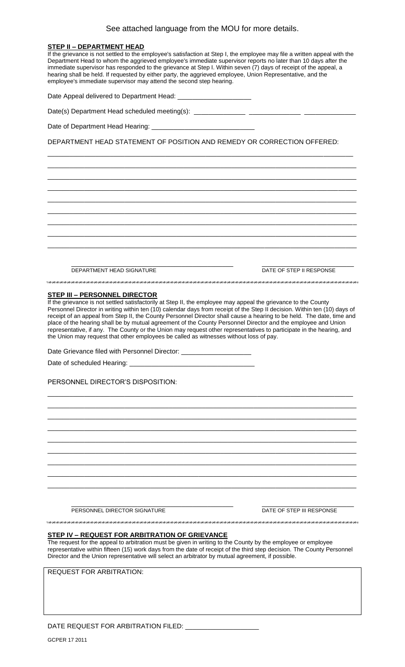| See attached language from the MOU for more details.                                                                                                                                                                                                                                                                                                                                                                                                                                                                                                                                                                                                                                                                                     |
|------------------------------------------------------------------------------------------------------------------------------------------------------------------------------------------------------------------------------------------------------------------------------------------------------------------------------------------------------------------------------------------------------------------------------------------------------------------------------------------------------------------------------------------------------------------------------------------------------------------------------------------------------------------------------------------------------------------------------------------|
| <b>STEP II - DEPARTMENT HEAD</b><br>If the grievance is not settled to the employee's satisfaction at Step I, the employee may file a written appeal with the<br>Department Head to whom the aggrieved employee's immediate supervisor reports no later than 10 days after the<br>immediate supervisor has responded to the grievance at Step I. Within seven (7) days of receipt of the appeal, a<br>hearing shall be held. If requested by either party, the aggrieved employee, Union Representative, and the<br>employee's immediate supervisor may attend the second step hearing.                                                                                                                                                  |
| Date Appeal delivered to Department Head: ________________________                                                                                                                                                                                                                                                                                                                                                                                                                                                                                                                                                                                                                                                                       |
|                                                                                                                                                                                                                                                                                                                                                                                                                                                                                                                                                                                                                                                                                                                                          |
|                                                                                                                                                                                                                                                                                                                                                                                                                                                                                                                                                                                                                                                                                                                                          |
| DEPARTMENT HEAD STATEMENT OF POSITION AND REMEDY OR CORRECTION OFFERED:                                                                                                                                                                                                                                                                                                                                                                                                                                                                                                                                                                                                                                                                  |
|                                                                                                                                                                                                                                                                                                                                                                                                                                                                                                                                                                                                                                                                                                                                          |
|                                                                                                                                                                                                                                                                                                                                                                                                                                                                                                                                                                                                                                                                                                                                          |
|                                                                                                                                                                                                                                                                                                                                                                                                                                                                                                                                                                                                                                                                                                                                          |
|                                                                                                                                                                                                                                                                                                                                                                                                                                                                                                                                                                                                                                                                                                                                          |
|                                                                                                                                                                                                                                                                                                                                                                                                                                                                                                                                                                                                                                                                                                                                          |
|                                                                                                                                                                                                                                                                                                                                                                                                                                                                                                                                                                                                                                                                                                                                          |
|                                                                                                                                                                                                                                                                                                                                                                                                                                                                                                                                                                                                                                                                                                                                          |
|                                                                                                                                                                                                                                                                                                                                                                                                                                                                                                                                                                                                                                                                                                                                          |
| DEPARTMENT HEAD SIGNATURE<br>DATE OF STEP II RESPONSE                                                                                                                                                                                                                                                                                                                                                                                                                                                                                                                                                                                                                                                                                    |
| STEP III - PERSONNEL DIRECTOR<br>If the grievance is not settled satisfactorily at Step II, the employee may appeal the grievance to the County<br>Personnel Director in writing within ten (10) calendar days from receipt of the Step II decision. Within ten (10) days of<br>receipt of an appeal from Step II, the County Personnel Director shall cause a hearing to be held. The date, time and<br>place of the hearing shall be by mutual agreement of the County Personnel Director and the employee and Union<br>representative, if any. The County or the Union may request other representatives to participate in the hearing, and<br>the Union may request that other employees be called as witnesses without loss of pay. |
| Date Grievance filed with Personnel Director: _____________________                                                                                                                                                                                                                                                                                                                                                                                                                                                                                                                                                                                                                                                                      |
|                                                                                                                                                                                                                                                                                                                                                                                                                                                                                                                                                                                                                                                                                                                                          |
| PERSONNEL DIRECTOR'S DISPOSITION:                                                                                                                                                                                                                                                                                                                                                                                                                                                                                                                                                                                                                                                                                                        |

PERSONNEL DIRECTOR SIGNATURE **Example 2006** DATE OF STEP III RESPONSE

\_\_\_\_\_\_\_\_\_\_\_\_\_\_\_\_\_\_\_\_\_\_\_\_\_\_\_\_\_\_\_\_\_\_\_\_\_\_\_\_\_\_\_\_ \_\_\_\_\_\_\_\_\_\_\_\_\_\_\_\_\_\_\_\_\_\_\_\_\_

# **STEP IV – REQUEST FOR ARBITRATION OF GRIEVANCE**

The request for the appeal to arbitration must be given in writing to the County by the employee or employee representative within fifteen (15) work days from the date of receipt of the third step decision. The County Personnel Director and the Union representative will select an arbitrator by mutual agreement, if possible.

\_\_\_\_\_\_\_\_\_\_\_\_\_\_\_\_\_\_\_\_\_\_\_\_\_\_\_\_\_\_\_\_\_\_\_\_\_\_\_\_\_\_\_\_\_\_\_\_\_\_\_\_\_\_\_\_\_\_\_\_\_\_\_\_\_\_\_\_\_\_\_\_\_\_\_\_\_\_\_\_\_\_\_ \_\_\_\_\_\_\_\_\_\_\_\_\_\_\_\_\_\_\_\_\_\_\_\_\_\_\_\_\_\_\_\_\_\_\_\_\_\_\_\_\_\_\_\_\_\_\_\_\_\_\_\_\_\_\_\_\_\_\_\_\_\_\_\_\_\_\_\_\_\_\_\_\_\_\_\_\_\_\_\_\_\_\_\_ \_\_\_\_\_\_\_\_\_\_\_\_\_\_\_\_\_\_\_\_\_\_\_\_\_\_\_\_\_\_\_\_\_\_\_\_\_\_\_\_\_\_\_\_\_\_\_\_\_\_\_\_\_\_\_\_\_\_\_\_\_\_\_\_\_\_\_\_\_\_\_\_\_\_\_\_\_\_\_\_\_\_\_\_ \_\_\_\_\_\_\_\_\_\_\_\_\_\_\_\_\_\_\_\_\_\_\_\_\_\_\_\_\_\_\_\_\_\_\_\_\_\_\_\_\_\_\_\_\_\_\_\_\_\_\_\_\_\_\_\_\_\_\_\_\_\_\_\_\_\_\_\_\_\_\_\_\_\_\_\_\_\_\_\_\_\_\_\_ \_\_\_\_\_\_\_\_\_\_\_\_\_\_\_\_\_\_\_\_\_\_\_\_\_\_\_\_\_\_\_\_\_\_\_\_\_\_\_\_\_\_\_\_\_\_\_\_\_\_\_\_\_\_\_\_\_\_\_\_\_\_\_\_\_\_\_\_\_\_\_\_\_\_\_\_\_\_\_\_\_\_\_\_ \_\_\_\_\_\_\_\_\_\_\_\_\_\_\_\_\_\_\_\_\_\_\_\_\_\_\_\_\_\_\_\_\_\_\_\_\_\_\_\_\_\_\_\_\_\_\_\_\_\_\_\_\_\_\_\_\_\_\_\_\_\_\_\_\_\_\_\_\_\_\_\_\_\_\_\_\_\_\_\_\_\_\_\_ \_\_\_\_\_\_\_\_\_\_\_\_\_\_\_\_\_\_\_\_\_\_\_\_\_\_\_\_\_\_\_\_\_\_\_\_\_\_\_\_\_\_\_\_\_\_\_\_\_\_\_\_\_\_\_\_\_\_\_\_\_\_\_\_\_\_\_\_\_\_\_\_\_\_\_\_\_\_\_\_\_\_\_\_ \_\_\_\_\_\_\_\_\_\_\_\_\_\_\_\_\_\_\_\_\_\_\_\_\_\_\_\_\_\_\_\_\_\_\_\_\_\_\_\_\_\_\_\_\_\_\_\_\_\_\_\_\_\_\_\_\_\_\_\_\_\_\_\_\_\_\_\_\_\_\_\_\_\_\_\_\_\_\_\_\_\_\_\_ \_\_\_\_\_\_\_\_\_\_\_\_\_\_\_\_\_\_\_\_\_\_\_\_\_\_\_\_\_\_\_\_\_\_\_\_\_\_\_\_\_\_\_\_\_\_\_\_\_\_\_\_\_\_\_\_\_\_\_\_\_\_\_\_\_\_\_\_\_\_\_\_\_\_\_\_\_\_\_\_\_\_\_\_

REQUEST FOR ARBITRATION:

DATE REQUEST FOR ARBITRATION FILED: \_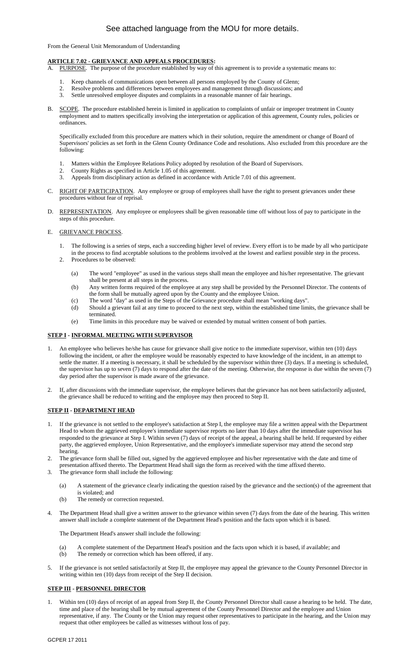# See attached language from the MOU for more details.

From the General Unit Memorandum of Understanding

## **ARTICLE 7.02 - GRIEVANCE AND APPEALS PROCEDURES:**

- A. PURPOSE. The purpose of the procedure established by way of this agreement is to provide a systematic means to:
	- Keep channels of communications open between all persons employed by the County of Glenn;
	- 2. Resolve problems and differences between employees and management through discussions; and
	- 3. Settle unresolved employee disputes and complaints in a reasonable manner of fair hearings.
- B. SCOPE. The procedure established herein is limited in application to complaints of unfair or improper treatment in County employment and to matters specifically involving the interpretation or application of this agreement, County rules, policies or ordinances.

Specifically excluded from this procedure are matters which in their solution, require the amendment or change of Board of Supervisors' policies as set forth in the Glenn County Ordinance Code and resolutions. Also excluded from this procedure are the following:

- 1. Matters within the Employee Relations Policy adopted by resolution of the Board of Supervisors.
- 2. County Rights as specified in Article 1.05 of this agreement.
- 3. Appeals from disciplinary action as defined in accordance with Article 7.01 of this agreement.
- C. RIGHT OF PARTICIPATION. Any employee or group of employees shall have the right to present grievances under these procedures without fear of reprisal.
- D. REPRESENTATION. Any employee or employees shall be given reasonable time off without loss of pay to participate in the steps of this procedure.

### E. GRIEVANCE PROCESS.

- 1. The following is a series of steps, each a succeeding higher level of review. Every effort is to be made by all who participate in the process to find acceptable solutions to the problems involved at the lowest and earliest possible step in the process. 2. Procedures to be observed:
	- (a) The word "employee" as used in the various steps shall mean the employee and his/her representative. The grievant shall be present at all steps in the process.
	- (b) Any written forms required of the employee at any step shall be provided by the Personnel Director. The contents of the form shall be mutually agreed upon by the County and the employee Union.
	- (c) The word "day" as used in the Steps of the Grievance procedure shall mean "working days".
	- (d) Should a grievant fail at any time to proceed to the next step, within the established time limits, the grievance shall be terminated.
	- (e) Time limits in this procedure may be waived or extended by mutual written consent of both parties.

### **STEP I - INFORMAL MEETING WITH SUPERVISOR**

- 1. An employee who believes he/she has cause for grievance shall give notice to the immediate supervisor, within ten (10) days following the incident, or after the employee would be reasonably expected to have knowledge of the incident, in an attempt to settle the matter. If a meeting is necessary, it shall be scheduled by the supervisor within three (3) days. If a meeting is scheduled, the supervisor has up to seven (7) days to respond after the date of the meeting. Otherwise, the response is due within the seven (7) day period after the supervisor is made aware of the grievance.
- 2. If, after discussions with the immediate supervisor, the employee believes that the grievance has not been satisfactorily adjusted, the grievance shall be reduced to writing and the employee may then proceed to Step II.

## **STEP II - DEPARTMENT HEAD**

- 1. If the grievance is not settled to the employee's satisfaction at Step I, the employee may file a written appeal with the Department Head to whom the aggrieved employee's immediate supervisor reports no later than 10 days after the immediate supervisor has responded to the grievance at Step I. Within seven (7) days of receipt of the appeal, a hearing shall be held. If requested by either party, the aggrieved employee, Union Representative, and the employee's immediate supervisor may attend the second step hearing.
- 2. The grievance form shall be filled out, signed by the aggrieved employee and his/her representative with the date and time of presentation affixed thereto. The Department Head shall sign the form as received with the time affixed thereto.
- 3. The grievance form shall include the following:
	- (a) A statement of the grievance clearly indicating the question raised by the grievance and the section(s) of the agreement that is violated; and
	- (b) The remedy or correction requested.
- The Department Head shall give a written answer to the grievance within seven (7) days from the date of the hearing. This written answer shall include a complete statement of the Department Head's position and the facts upon which it is based.

The Department Head's answer shall include the following:

- (a) A complete statement of the Department Head's position and the facts upon which it is based, if available; and
- (b) The remedy or correction which has been offered, if any.
- 5. If the grievance is not settled satisfactorily at Step II, the employee may appeal the grievance to the County Personnel Director in writing within ten (10) days from receipt of the Step II decision.

### **STEP III - PERSONNEL DIRECTOR**

Within ten (10) days of receipt of an appeal from Step II, the County Personnel Director shall cause a hearing to be held. The date, time and place of the hearing shall be by mutual agreement of the County Personnel Director and the employee and Union representative, if any. The County or the Union may request other representatives to participate in the hearing, and the Union may request that other employees be called as witnesses without loss of pay.